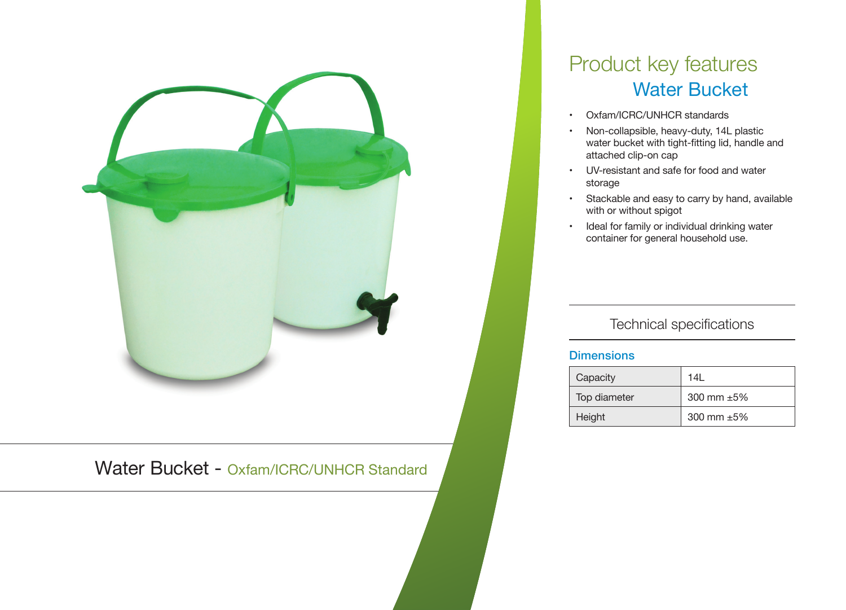

Water Bucket - Oxfam/ICRC/UNHCR Standard

# Product key features Water Bucket

- • Oxfam/ICRC/UNHCR standards
- • Non-collapsible, heavy-duty, 14L plastic water bucket with tight-fitting lid, handle and attached clip-on cap
- • UV-resistant and safe for food and water storage
- • Stackable and easy to carry by hand, available with or without spigot
- • Ideal for family or individual drinking water container for general household use.

## Technical specifications

#### **Dimensions**

| Capacity     | 14I              |
|--------------|------------------|
| Top diameter | 300 mm $\pm 5\%$ |
| Height       | 300 mm $\pm 5\%$ |